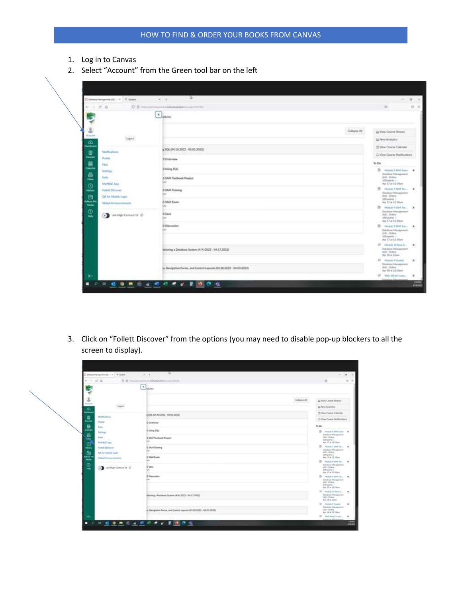- 1. Log in to Canvas
- 2. Select "Account" from the Green tool bar on the left

| C Dealer Hespman (6), CA 117, Suite                                  | D.<br>87.8                                                         | - 10<br>$\sim$                                                                                             |
|----------------------------------------------------------------------|--------------------------------------------------------------------|------------------------------------------------------------------------------------------------------------|
| $0 - 6$ maxim<br>4.7.0.0                                             | TOWOULLAND WANTED TO THE TITLE                                     | ×                                                                                                          |
|                                                                      | <b>Elyster</b>                                                     |                                                                                                            |
| ٤                                                                    | Collapse All                                                       | L2 View Course Stream                                                                                      |
| Asset<br>lages.<br>æ                                                 |                                                                    | \$5 New Analytics                                                                                          |
| <b>Martin attorn</b><br>厚                                            | 4.106.04.18.2022 - 05.01.2022)                                     | 25 View Course Calendar                                                                                    |
| Courses<br>Prestige                                                  | <b>B</b> Overview                                                  | C View Course Hutflockers                                                                                  |
| 扁<br>Films.<br>Calvella                                              |                                                                    | To Do                                                                                                      |
| <b>Summer</b><br>픏<br>Patter.<br><b>ISON</b><br><b>Multiplat Ada</b> | B Uhing SQL<br><b>D SAM Textbook Project</b>                       | 1b<br>Worker 9 Edith France W.<br>Situlus Hougones<br>Mill Online<br>320 parts 1.<br>Air 17 at 11 Main     |
| õ<br>Fullett Chapell<br><b>Middle</b><br>m<br>Of for Mution Legite.  | <b>B SAM Training</b>                                              | The American of Light Terrors<br><b><i><u>Emiles Hongmans</u></i></b><br>UNI - Online<br>E30 points 1      |
| California 64<br><b>Claimed Armsproments</b><br><b>AMAGE</b>         | <b>B SAM Exem</b>                                                  | Apr 57 at 11 those<br>$\Rightarrow$<br>Markale 9-5404 Tren-                                                |
| Φ<br>Our Hall Company (2)<br><b>Holly</b>                            | 0 Gulz<br>m<br>a an                                                | Severan Hanagement<br>U.S. Online<br>100 paints 1.<br>Apr 17 at 15 Mars                                    |
|                                                                      | D Dissuration                                                      | St. Hubert Start Sec., N.<br>Dalabase Management<br>$[0.01]$ - Ordina.<br>206 japans 1<br>Aw 17 at 11:09pm |
|                                                                      | Writering a Detabase Suntany (414/2022 - DK.17.2022)               | 17 Youker M Read<br>Totalyee Management<br>1451 - Guileau<br>Air 18 at 12am                                |
|                                                                      | H. Navigation Forms, and Control Leynato (23.28.2022 - 54.03.2022) | 17. Holin Fillmini<br><b>Sociolog Hongomers</b><br>(AS) - Geliop<br>Apr 18 at 12:13pm                      |
| $^{\prime}$                                                          |                                                                    | 10 Mark Mingel London<br><b>Donate and Adv</b>                                                             |

3. Click on "Follett Discover" from the options (you may need to disable pop-up blockers to all the screen to display).

| C Dealer Hespman (4) ( 4 ) T. Bullet                                                              | ×<br>82.9                                                          |                                                                                                                            | <b>IS</b>                |
|---------------------------------------------------------------------------------------------------|--------------------------------------------------------------------|----------------------------------------------------------------------------------------------------------------------------|--------------------------|
| $0.8 -$<br>$41 - 12 - 48$                                                                         | AND ALL PHONES AND RESIDENCE OF A TOTAL                            | ×                                                                                                                          | 双 3                      |
| ×                                                                                                 | $K_{\text{bath}}$                                                  |                                                                                                                            |                          |
| Asset                                                                                             | Collapse All<br><b><i>Controller Controller</i></b>                | L2 View County Stream                                                                                                      |                          |
| <b>CALLACE</b><br>logair.                                                                         |                                                                    | <b>US New Anatolics</b>                                                                                                    |                          |
| æ<br>entro<br><b>Martinstown</b>                                                                  | # NOL 694.14.2022 - 05.01.2022)                                    | Mi View Course Calendar                                                                                                    |                          |
| 昷<br>Prestige                                                                                     | <b>B</b> Overview                                                  | C View Course Hutfloaters                                                                                                  |                          |
| Д<br><b>Plast</b>                                                                                 |                                                                    | To Do                                                                                                                      |                          |
| <b>Summers</b><br>W61<br>Patter<br>Mumerat App                                                    | B Draing SQL<br><b>D SAM Textbook Project</b>                      | B.<br><b>Madule 9 Start Event</b><br>Situlus Hougones<br>Mill Online<br>MA years 1.<br>Aur 17 at 11:19pm                   | $\cdot$                  |
| Fullett Discount<br>C/I for Mutiak Legits<br><b>Kalkury Int</b><br><b>Claimed Armson Comments</b> | <b>B SAM Training</b><br><b>B SAM Exerc</b>                        | $\mathbb{R}$<br>Make # MM Tex<br><b><i><u>Evolve Hangesen</u></i></b><br>UNEL: Ordner<br>E30 points 7<br>Apr 17 at 11 High | $\mathbf x$              |
| C United Company (2)                                                                              | w.<br>D'Outz<br>m                                                  | n.<br>Abelia 9 Mill Toyota<br>Swoman Hansannon<br>ULE - Online<br>100 plains 1<br>Apr 17 at 15 Mars                        | $\overline{\phantom{a}}$ |
|                                                                                                   | <b>D</b> Dissumine<br>u.                                           | <sup>(2)</sup> Make Flat Tax<br>Dalabase Management<br>UAS - Ordeas<br>206 janes 1<br>Apr 17 at 11, fillion                | ×                        |
|                                                                                                   | Wittering a Detailuse Symon (474/2022 - 04.17.2022)                | 17 Hobert Millers A.<br>Totaben Management<br>1451 - Guileau<br>Apr 18 at 12pm                                             | W)                       |
|                                                                                                   | H. Navigation Fores, and Control Leynuts (51.29.2022 - 54.03.2022) | 17. Holin Fillmond<br><b>Sociola Hongorent</b><br>UASI - Gelen-<br>Apr 58 at 12:5 liers                                    | $\mathbf{x}$             |
|                                                                                                   |                                                                    | 17 Melc MacTown                                                                                                            | ж                        |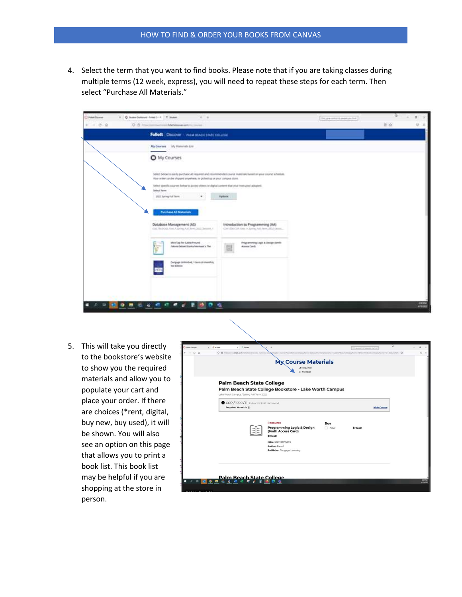4. Select the term that you want to find books. Please note that if you are taking classes during multiple terms (12 week, express), you will need to repeat these steps for each term. Then select "Purchase All Materials."

| C Anatiune                          | X . C Summitteend Adapt L-A  T. Summ.                                                                                                                                       |                                                                                                               | One grandman is aware you find. | 世                                |
|-------------------------------------|-----------------------------------------------------------------------------------------------------------------------------------------------------------------------------|---------------------------------------------------------------------------------------------------------------|---------------------------------|----------------------------------|
| <b>Q &amp; America</b><br>$+ - 0.9$ | the Adam program start in a concentration<br>Follett Discover - PALM MACH STATE COLLEGE                                                                                     |                                                                                                               |                                 | $\equiv \alpha$<br>$\circ$<br>ाह |
|                                     | My Courses My Waterials Lite                                                                                                                                                |                                                                                                               |                                 |                                  |
|                                     | O My Courses                                                                                                                                                                |                                                                                                               |                                 |                                  |
|                                     | Way online cars be shapped ampelhere, or picked up at your campus stars.<br>Select specific courses below to access widens or digital content that your instructor adopted. | Select below to audity purchase all required and recommended course materials based on your course achietism. |                                 |                                  |
|                                     | Swinst Nerma<br>Joseph Fall Trees<br>$\sim$                                                                                                                                 | <b>Vipilata</b>                                                                                               |                                 |                                  |
|                                     | <b>Purchase All Materials</b><br>Database Management (AS)<br>the Hancos that thing had him 2002 Second A.                                                                   | Introduction to Programming (AA)<br>consideration contributions and sport office twenty                       |                                 |                                  |
|                                     | Mostlag for Collis/Freund<br>Aboris/Sebok/Manks/Membout's Plan<br>×                                                                                                         | Fregramming Legit & Design Gordo<br>Access Candi.                                                             |                                 |                                  |
|                                     | Congage (solimber), I bent (8 months),<br>Tel Biblion                                                                                                                       |                                                                                                               |                                 |                                  |
|                                     |                                                                                                                                                                             |                                                                                                               |                                 |                                  |
| ٠<br>$\overline{\phantom{a}}$<br>趆  | の最後<br>$\bullet$ of                                                                                                                                                         | 嘛                                                                                                             |                                 | <b>ANGE</b>                      |

5. This will take you directly to the bookstore's website to show you the required materials and allow you to populate your cart and place your order. If there are choices (\*rent, digital, buy new, buy used), it will be shown. You will also see an option on this page that allows you to print a book list. This book list may be helpful if you are shopping at the store in person.

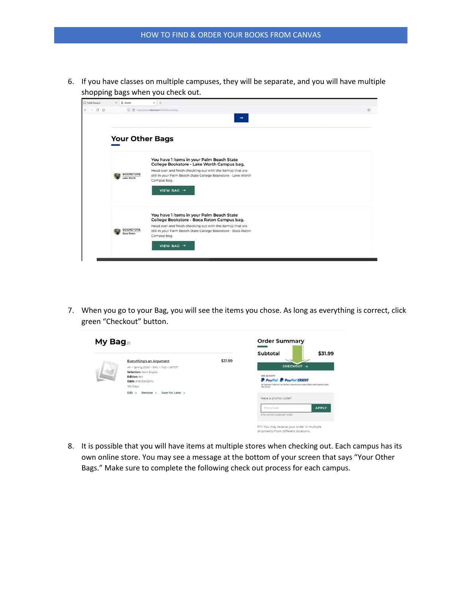6. If you have classes on multiple campuses, they will be separate, and you will have multiple shopping bags when you check out.

| <b>C</b> Follett Discover      | $\times$ 0 efoliett                   | $\times$ +                                                                                                                                                                                                              |   |
|--------------------------------|---------------------------------------|-------------------------------------------------------------------------------------------------------------------------------------------------------------------------------------------------------------------------|---|
| $\leftarrow$ $\rightarrow$ C Q |                                       | O 8 https://www.bkstr.com/efoliattstore/bag                                                                                                                                                                             | ☆ |
|                                |                                       | $\rightarrow$                                                                                                                                                                                                           |   |
|                                | <b>Your Other Bags</b>                |                                                                                                                                                                                                                         |   |
|                                | <b>BOOKSTORE</b><br>Lake Worth        | You have 1 items in your Palm Beach State<br>College Bookstore - Lake Worth Campus bag.<br>Head over and finish checking out with the item(s) that are<br>still in your Palm Beach State College Bookstore - Lake Worth |   |
|                                |                                       | Campus bag.<br>VIEW BAG -                                                                                                                                                                                               |   |
|                                |                                       | You have 1 items in your Palm Beach State<br>College Bookstore - Boca Raton Campus bag.                                                                                                                                 |   |
|                                | <b>BOOKSTORE</b><br><b>Boca Raton</b> | Head over and finish checking out with the item(s) that are<br>still in your Palm Beach State College Bookstore - Boca Raton<br>Campus bag.                                                                             |   |
|                                |                                       | VIEW BAG +                                                                                                                                                                                                              |   |
|                                |                                       |                                                                                                                                                                                                                         |   |

7. When you go to your Bag, you will see the items you chose. As long as everything is correct, click green "Checkout" button.

| \$31.99<br>Subtotal<br>CHECKOUT →<br><b>WE ACCEPT</b><br><b>P</b> PayPal <b>P</b> PayPal CREDIT<br>No Interest if Paid in Full Within 6 Months (on orders \$99+) with PayPal Credit.<br>See Terms.<br>Have a promo code?<br><b>APPLY</b><br>Promo Code<br>One promo code per order<br>FYI: You may receive your order in multiple |
|-----------------------------------------------------------------------------------------------------------------------------------------------------------------------------------------------------------------------------------------------------------------------------------------------------------------------------------|
|                                                                                                                                                                                                                                                                                                                                   |

8. It is possible that you will have items at multiple stores when checking out. Each campus has its own online store. You may see a message at the bottom of your screen that says "Your Other Bags." Make sure to complete the following check out process for each campus.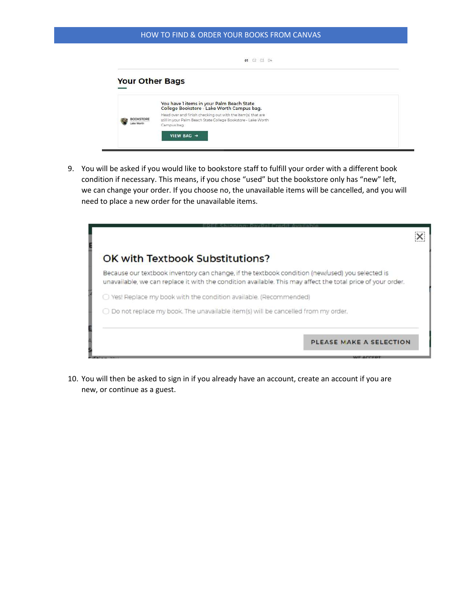## HOW TO FIND & ORDER YOUR BOOKS FROM CANVAS

| <b>Your Other Bags</b> |                                                                                         |  |
|------------------------|-----------------------------------------------------------------------------------------|--|
|                        |                                                                                         |  |
|                        | You have 1 items in your Palm Beach State<br>College Bookstore - Lake Worth Campus bag. |  |
|                        | Head over and finish checking out with the item(s) that are                             |  |
|                        | still in your Palm Beach State College Bookstore - Lake Worth<br>Campus bag,            |  |
|                        | VIEW BAG -                                                                              |  |

9. You will be asked if you would like to bookstore staff to fulfill your order with a different book condition if necessary. This means, if you chose "used" but the bookstore only has "new" left, we can change your order. If you choose no, the unavailable items will be cancelled, and you will need to place a new order for the unavailable items.



10. You will then be asked to sign in if you already have an account, create an account if you are new, or continue as a guest.